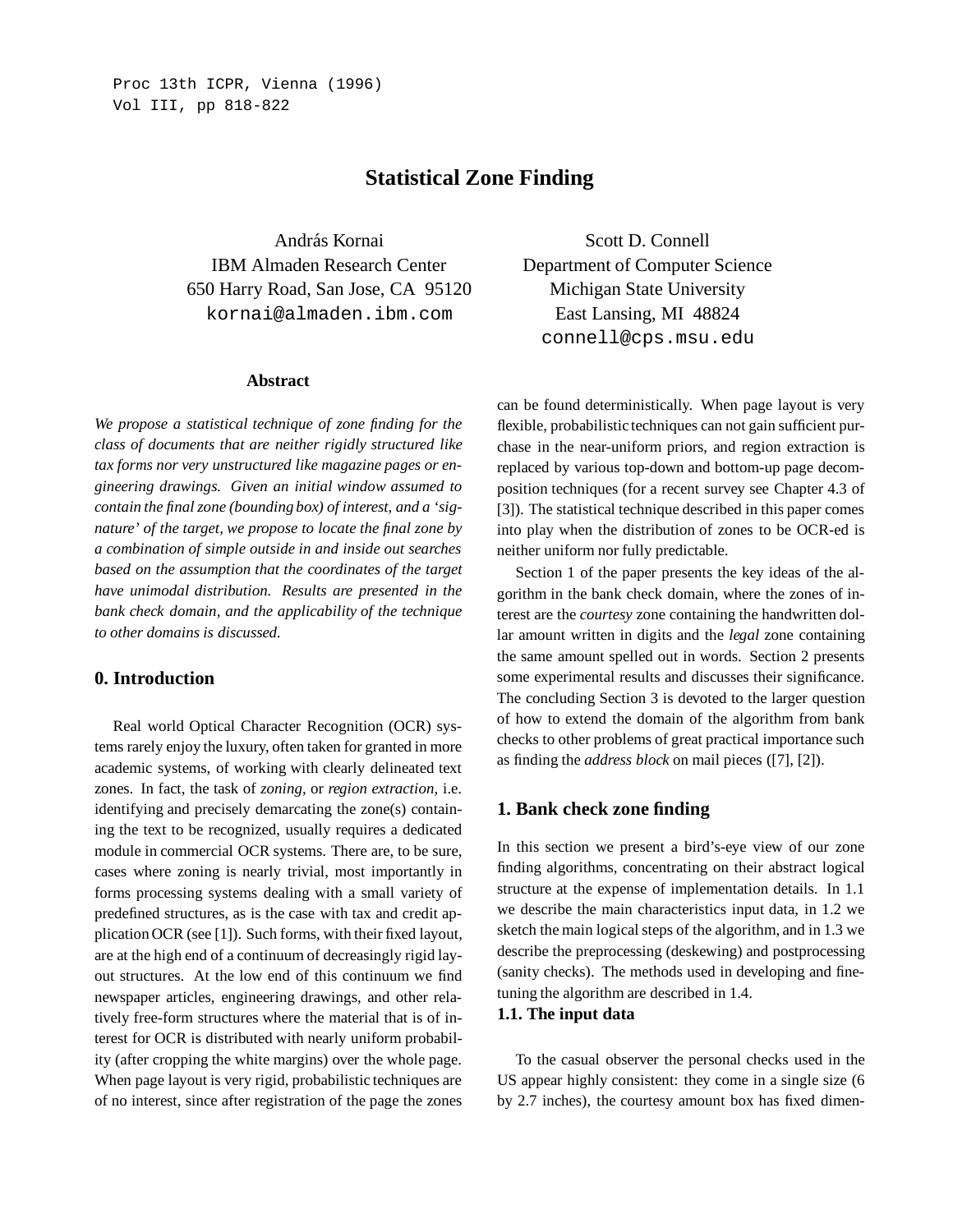# **Statistical Zone Finding**

András Kornai IBM Almaden Research Center 650 Harry Road, San Jose, CA 95120 kornai@almaden.ibm.com

#### **Abstract**

*We propose a statistical technique of zone finding for the class of documents that are neither rigidly structured like tax forms nor very unstructured like magazine pages or engineering drawings. Given an initial window assumed to contain the final zone (bounding box) of interest, and a 'signature' of the target, we propose to locate the final zone by a combination of simple outside in and inside out searches based on the assumption that the coordinates of the target have unimodal distribution. Results are presented in the bank check domain, and the applicability of the technique to other domains is discussed.*

# **0. Introduction**

Real world Optical Character Recognition (OCR) systems rarely enjoy the luxury, often taken for granted in more academic systems, of working with clearly delineated text zones. In fact, the task of *zoning,* or *region extraction,* i.e. identifying and precisely demarcating the zone(s) containing the text to be recognized, usually requires a dedicated module in commercial OCR systems. There are, to be sure, cases where zoning is nearly trivial, most importantly in forms processing systems dealing with a small variety of predefined structures, as is the case with tax and credit application OCR (see [1]). Such forms, with their fixed layout, are at the high end of a continuum of decreasingly rigid layout structures. At the low end of this continuum we find newspaper articles, engineering drawings, and other relatively free-form structures where the material that is of interest for OCR is distributed with nearly uniform probability (after cropping the white margins) over the whole page. When page layout is very rigid, probabilistic techniques are of no interest, since after registration of the page the zones

Scott D. Connell Department of Computer Science Michigan State University East Lansing, MI 48824 connell@cps.msu.edu

can be found deterministically. When page layout is very flexible, probabilistic techniques can not gain sufficient purchase in the near-uniform priors, and region extraction is replaced by various top-down and bottom-up page decomposition techniques (for a recent survey see Chapter 4.3 of [3]). The statistical technique described in this paper comes into play when the distribution of zones to be OCR-ed is neither uniform nor fully predictable.

Section 1 of the paper presents the key ideas of the algorithm in the bank check domain, where the zones of interest are the *courtesy* zone containing the handwritten dollar amount written in digits and the *legal* zone containing the same amount spelled out in words. Section 2 presents some experimental results and discusses their significance. The concluding Section 3 is devoted to the larger question of how to extend the domain of the algorithm from bank checks to other problems of great practical importance such as finding the *address block* on mail pieces ([7], [2]).

#### **1. Bank check zone finding**

In this section we present a bird's-eye view of our zone finding algorithms, concentrating on their abstract logical structure at the expense of implementation details. In 1.1 we describe the main characteristics input data, in 1.2 we sketch the main logical steps of the algorithm, and in 1.3 we describe the preprocessing (deskewing) and postprocessing (sanity checks). The methods used in developing and finetuning the algorithm are described in 1.4.

#### **1.1. The input data**

To the casual observer the personal checks used in the US appear highly consistent: they come in a single size (6 by 2.7 inches), the courtesy amount box has fixed dimen-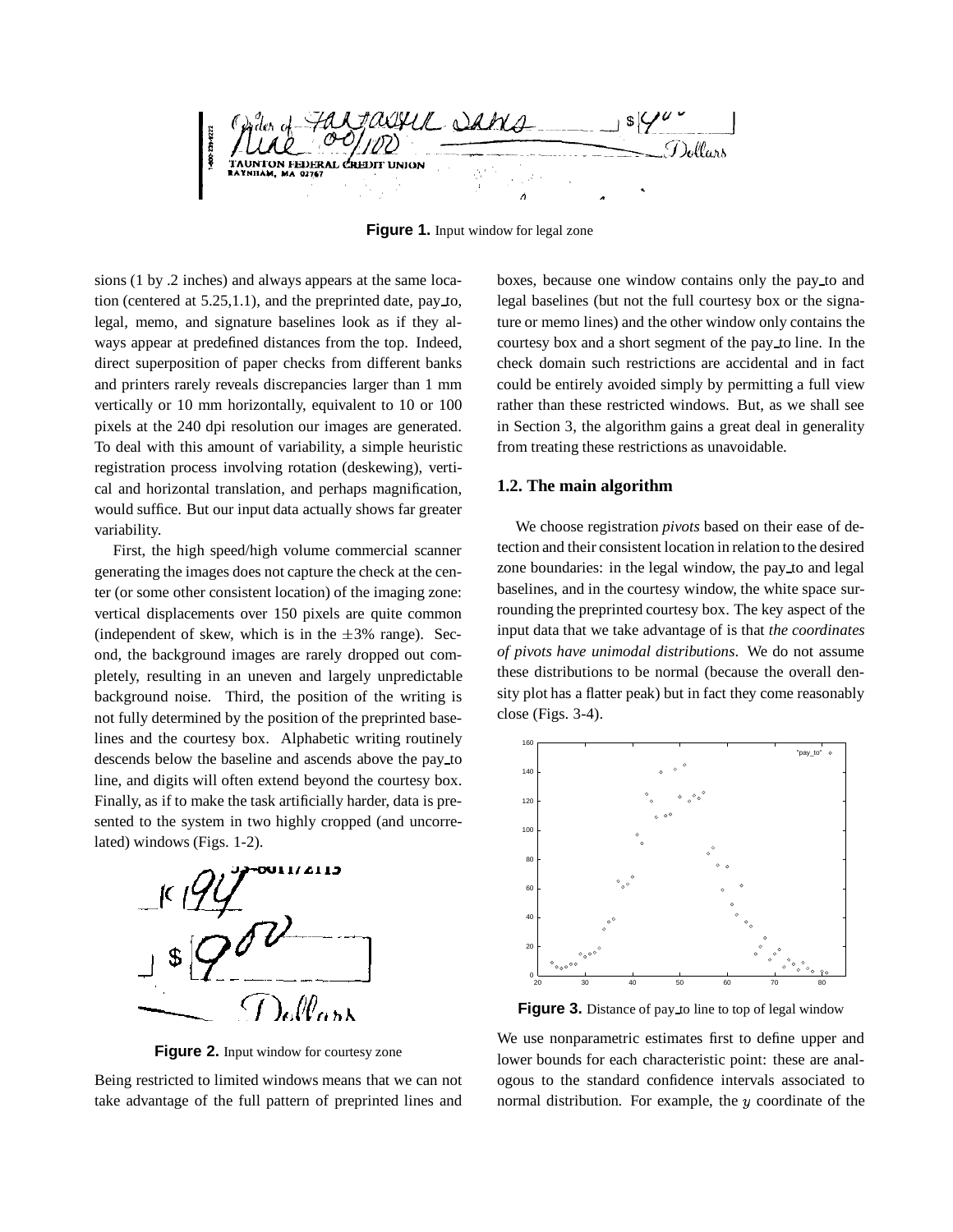

**Figure 1.** Input window for legal zone

sions (1 by .2 inches) and always appears at the same location (centered at  $5.25,1.1$ ), and the preprinted date, pay to, legal, memo, and signature baselines look as if they always appear at predefined distances from the top. Indeed, direct superposition of paper checks from different banks and printers rarely reveals discrepancies larger than 1 mm vertically or 10 mm horizontally, equivalent to 10 or 100 pixels at the 240 dpi resolution our images are generated. To deal with this amount of variability, a simple heuristic registration process involving rotation (deskewing), vertical and horizontal translation, and perhaps magnification, would suffice. But our input data actually shows far greater variability.

First, the high speed/high volume commercial scanner generating the images does not capture the check at the center (or some other consistent location) of the imaging zone: vertical displacements over 150 pixels are quite common (independent of skew, which is in the  $\pm 3\%$  range). Second, the background images are rarely dropped out completely, resulting in an uneven and largely unpredictable background noise. Third, the position of the writing is not fully determined by the position of the preprinted baselines and the courtesy box. Alphabetic writing routinely descends below the baseline and ascends above the pay to line, and digits will often extend beyond the courtesy box. Finally, as if to make the task artificially harder, data is presented to the system in two highly cropped (and uncorrelated) windows (Figs. 1-2).



Figure 2. Input window for courtesy zone

Being restricted to limited windows means that we can not take advantage of the full pattern of preprinted lines and boxes, because one window contains only the pay to and legal baselines (but not the full courtesy box or the signature or memo lines) and the other window only contains the courtesy box and a short segment of the pay to line. In the check domain such restrictions are accidental and in fact could be entirely avoided simply by permitting a full view rather than these restricted windows. But, as we shall see in Section 3, the algorithm gains a great deal in generality from treating these restrictions as unavoidable.

## **1.2. The main algorithm**

We choose registration *pivots* based on their ease of detection and their consistent location in relation to the desired zone boundaries: in the legal window, the pay to and legal baselines, and in the courtesy window, the white space surrounding the preprinted courtesy box. The key aspect of the input data that we take advantage of is that *the coordinates of pivots have unimodal distributions*. We do not assume these distributions to be normal (because the overall density plot has a flatter peak) but in fact they come reasonably close (Figs. 3-4).



**Figure 3.** Distance of pay to line to top of legal window

We use nonparametric estimates first to define upper and lower bounds for each characteristic point: these are analogous to the standard confidence intervals associated to normal distribution. For example, the <sup>y</sup> coordinate of the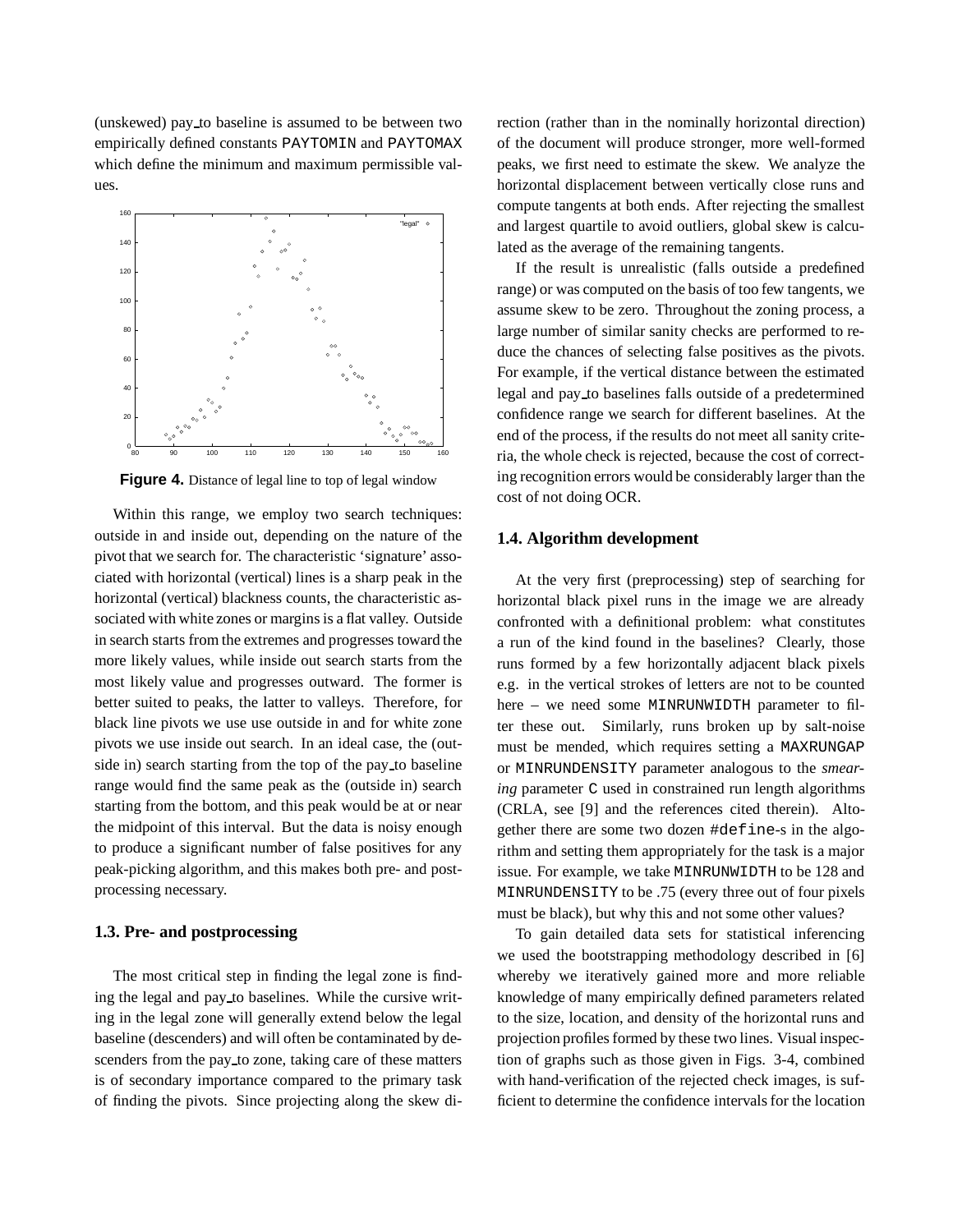(unskewed) pay to baseline is assumed to be between two empirically defined constants PAYTOMIN and PAYTOMAX which define the minimum and maximum permissible values.



**Figure 4.** Distance of legal line to top of legal window

Within this range, we employ two search techniques: outside in and inside out, depending on the nature of the pivot that we search for. The characteristic 'signature' associated with horizontal (vertical) lines is a sharp peak in the horizontal (vertical) blackness counts, the characteristic associated with white zones or margins is a flat valley. Outside in search starts from the extremes and progresses toward the more likely values, while inside out search starts from the most likely value and progresses outward. The former is better suited to peaks, the latter to valleys. Therefore, for black line pivots we use use outside in and for white zone pivots we use inside out search. In an ideal case, the (outside in) search starting from the top of the pay to baseline range would find the same peak as the (outside in) search starting from the bottom, and this peak would be at or near the midpoint of this interval. But the data is noisy enough to produce a significant number of false positives for any peak-picking algorithm, and this makes both pre- and postprocessing necessary.

### **1.3. Pre- and postprocessing**

The most critical step in finding the legal zone is finding the legal and pay to baselines. While the cursive writing in the legal zone will generally extend below the legal baseline (descenders) and will often be contaminated by descenders from the pay to zone, taking care of these matters is of secondary importance compared to the primary task of finding the pivots. Since projecting along the skew direction (rather than in the nominally horizontal direction) of the document will produce stronger, more well-formed peaks, we first need to estimate the skew. We analyze the horizontal displacement between vertically close runs and compute tangents at both ends. After rejecting the smallest and largest quartile to avoid outliers, global skew is calculated as the average of the remaining tangents.

If the result is unrealistic (falls outside a predefined range) or was computed on the basis of too few tangents, we assume skew to be zero. Throughout the zoning process, a large number of similar sanity checks are performed to reduce the chances of selecting false positives as the pivots. For example, if the vertical distance between the estimated legal and pay to baselines falls outside of a predetermined confidence range we search for different baselines. At the end of the process, if the results do not meet all sanity criteria, the whole check is rejected, because the cost of correcting recognition errors would be considerably larger than the cost of not doing OCR.

### **1.4. Algorithm development**

At the very first (preprocessing) step of searching for horizontal black pixel runs in the image we are already confronted with a definitional problem: what constitutes a run of the kind found in the baselines? Clearly, those runs formed by a few horizontally adjacent black pixels e.g. in the vertical strokes of letters are not to be counted here – we need some MINRUNWIDTH parameter to filter these out. Similarly, runs broken up by salt-noise must be mended, which requires setting a MAXRUNGAP or MINRUNDENSITY parameter analogous to the *smearing* parameter C used in constrained run length algorithms (CRLA, see [9] and the references cited therein). Altogether there are some two dozen #define-s in the algorithm and setting them appropriately for the task is a major issue. For example, we take MINRUNWIDTH to be 128 and MINRUNDENSITY to be .75 (every three out of four pixels must be black), but why this and not some other values?

To gain detailed data sets for statistical inferencing we used the bootstrapping methodology described in [6] whereby we iteratively gained more and more reliable knowledge of many empirically defined parameters related to the size, location, and density of the horizontal runs and projection profiles formed by these two lines. Visual inspection of graphs such as those given in Figs. 3-4, combined with hand-verification of the rejected check images, is sufficient to determine the confidence intervals for the location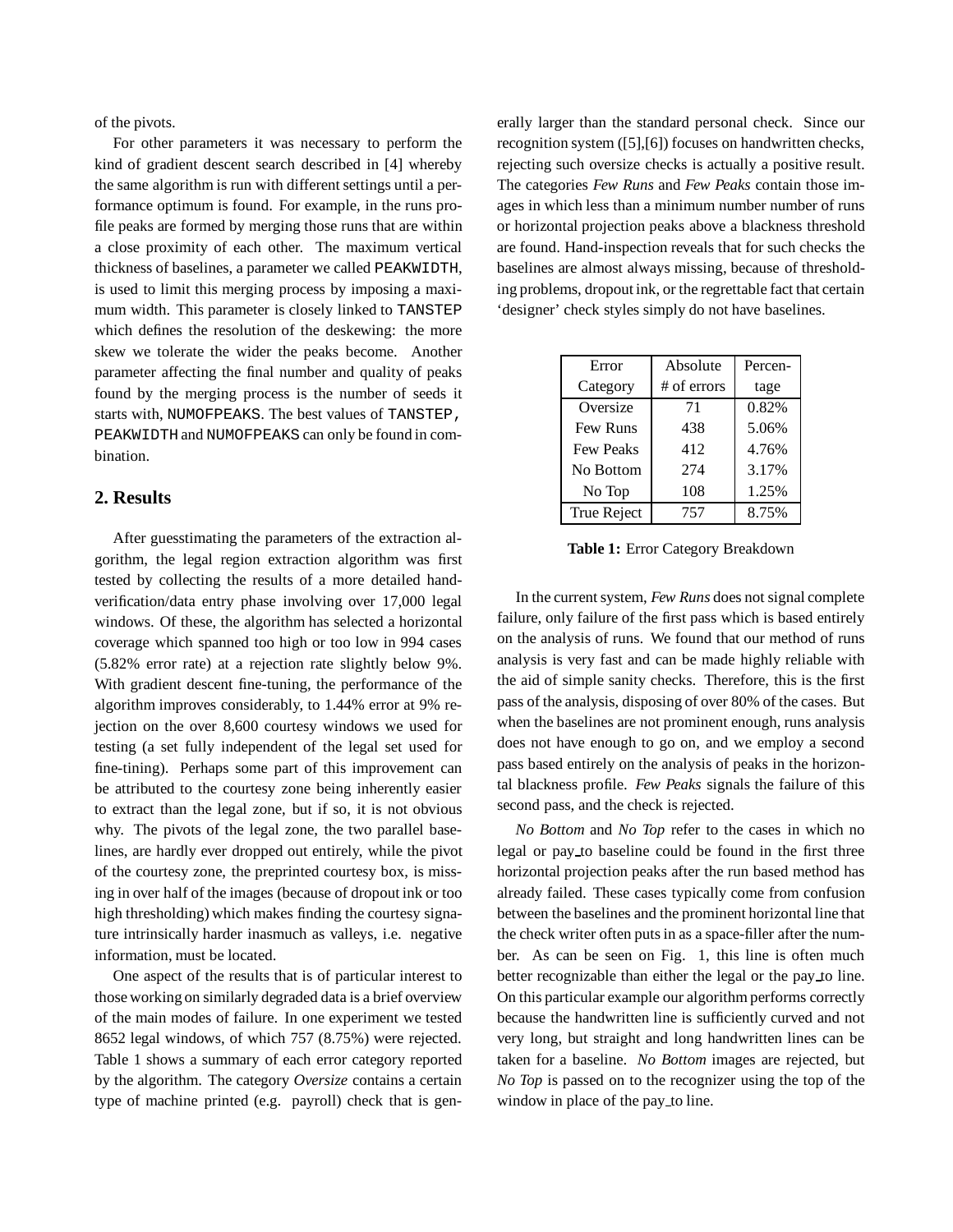of the pivots.

For other parameters it was necessary to perform the kind of gradient descent search described in [4] whereby the same algorithm is run with different settings until a performance optimum is found. For example, in the runs profile peaks are formed by merging those runs that are within a close proximity of each other. The maximum vertical thickness of baselines, a parameter we called PEAKWIDTH, is used to limit this merging process by imposing a maximum width. This parameter is closely linked to TANSTEP which defines the resolution of the deskewing: the more skew we tolerate the wider the peaks become. Another parameter affecting the final number and quality of peaks found by the merging process is the number of seeds it starts with, NUMOFPEAKS. The best values of TANSTEP, PEAKWIDTH and NUMOFPEAKS can only be found in combination.

## **2. Results**

After guesstimating the parameters of the extraction algorithm, the legal region extraction algorithm was first tested by collecting the results of a more detailed handverification/data entry phase involving over 17,000 legal windows. Of these, the algorithm has selected a horizontal coverage which spanned too high or too low in 994 cases (5.82% error rate) at a rejection rate slightly below 9%. With gradient descent fine-tuning, the performance of the algorithm improves considerably, to 1.44% error at 9% rejection on the over 8,600 courtesy windows we used for testing (a set fully independent of the legal set used for fine-tining). Perhaps some part of this improvement can be attributed to the courtesy zone being inherently easier to extract than the legal zone, but if so, it is not obvious why. The pivots of the legal zone, the two parallel baselines, are hardly ever dropped out entirely, while the pivot of the courtesy zone, the preprinted courtesy box, is missing in over half of the images (because of dropout ink or too high thresholding) which makes finding the courtesy signature intrinsically harder inasmuch as valleys, i.e. negative information, must be located.

One aspect of the results that is of particular interest to those working on similarly degraded data is a brief overview of the main modes of failure. In one experiment we tested 8652 legal windows, of which 757 (8.75%) were rejected. Table 1 shows a summary of each error category reported by the algorithm. The category *Oversize* contains a certain type of machine printed (e.g. payroll) check that is generally larger than the standard personal check. Since our recognition system ([5],[6]) focuses on handwritten checks, rejecting such oversize checks is actually a positive result. The categories *Few Runs* and *Few Peaks* contain those images in which less than a minimum number number of runs or horizontal projection peaks above a blackness threshold are found. Hand-inspection reveals that for such checks the baselines are almost always missing, because of thresholding problems, dropout ink, or the regrettable fact that certain 'designer' check styles simply do not have baselines.

| Error            | Absolute      | Percen- |
|------------------|---------------|---------|
| Category         | $#$ of errors | tage    |
| Oversize         | 71            | 0.82%   |
| <b>Few Runs</b>  | 438           | 5.06%   |
| <b>Few Peaks</b> | 412           | 4.76%   |
| No Bottom        | 274           | 3.17%   |
| No Top           | 108           | 1.25%   |
| True Reject      | 757           | 8.75%   |

**Table 1:** Error Category Breakdown

In the current system, *Few Runs* does not signal complete failure, only failure of the first pass which is based entirely on the analysis of runs. We found that our method of runs analysis is very fast and can be made highly reliable with the aid of simple sanity checks. Therefore, this is the first pass of the analysis, disposing of over 80% of the cases. But when the baselines are not prominent enough, runs analysis does not have enough to go on, and we employ a second pass based entirely on the analysis of peaks in the horizontal blackness profile. *Few Peaks* signals the failure of this second pass, and the check is rejected.

*No Bottom* and *No Top* refer to the cases in which no legal or pay to baseline could be found in the first three horizontal projection peaks after the run based method has already failed. These cases typically come from confusion between the baselines and the prominent horizontal line that the check writer often puts in as a space-filler after the number. As can be seen on Fig. 1, this line is often much better recognizable than either the legal or the pay to line. On this particular example our algorithm performs correctly because the handwritten line is sufficiently curved and not very long, but straight and long handwritten lines can be taken for a baseline. *No Bottom* images are rejected, but *No Top* is passed on to the recognizer using the top of the window in place of the pay to line.